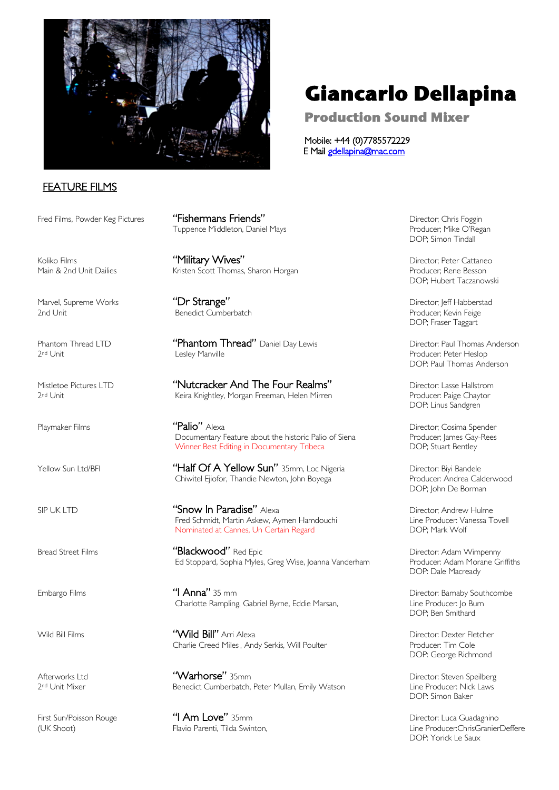

# FEATURE FILMS

Marvel, Supreme Works **"Dr Strange"** ("Dr Strange" Director; Jeff Habberstad<br>2nd Unit Producer; Kevin Feige

Fred Films, Powder Keg Pictures "Tishermans Friends" **Exercise 2018** Director; Chris Foggin Tuppence Middleton, Daniel Mays Producer; Mike O'Regan

Koliko Films **Material Military Wives"** Military Wives And Military Director; Peter Cattaneo Main & 2nd Unit Dailies **Kristen Scott Thomas, Sharon Horgan** Producer; Rene Besson

Benedict Cumberbatch

Phantom Thread LTD **"Phantom Thread"** Daniel Day Lewis **Director: Paul Thomas Anderson**<br>2<sup>nd</sup> Unit Producer: Peter Heslop

Mistletoe Pictures LTD **"Nutcracker And The Four Realms"** Director: Lasse Hallstrom<br><sup>2nd</sup> Unit Producer: Paige Chaytor Keira Knightley, Morgan Freeman, Helen Mirren

Playmaker Films **"Palio"** Alexa<br>Director; Cosima Spender **"Palio"** Alexa Documentary Feature about the historic Palio of Siena Producer; lames Gay-Rees Documentary Feature about the historic Palio of Siena Producer; James Gay-<br>19 Winner Best Editing in Documentary Tribeca Promotom Bass Propics Stuart Bentley Winner Best Editing in Documentary Tribeca

Yellow Sun Ltd/BFI "Half Of A Yellow Sun" 35mm, Loc Nigeria Director: Biyi Bandele Chiwitel Ejiofor, Thandie Newton, John Boyega

SIP UK LTD<br>Fred Schmidt Martin Askew Aymen Hamdouching and the Producer Vanessa Tovell<br>Line Producer Vanessa Tovell Fred Schmidt, Martin Askew, Aymen Hamdouchi Line Producer: Vanessa Towell Askew, Aymen Hamdouchi Line Producer: Va<br>Nominated at Cannes. Un Certain Regard Nominated at Cannes, Un Certain Regard

Bread Street Films **"Blackwood"** Red Epic **"** Director: Adam Wimpenny<br>Ed Stoppard, Sophia Myles, Greg Wise, Ioanna Vanderham Producer: Adam Morane Griffiths Ed Stoppard, Sophia Myles, Greg Wise, Joanna Vanderham

Embargo Films "I Anna" 35 mm Director: Barnaby Southcombe Charlotte Rampling, Gabriel Byrne, Eddie Marsan,

Wild Bill Films "Wild Bill" Arri Alexa Director: Dexter Fletcher Charlie Creed Miles, Andy Serkis, Will Poulter **Producer: Tim Cole** 

Afterworks Ltd "Warhorse" 35mm Director: Steven Speilberg 2nd Unit Mixer **Benedict Cumberbatch, Peter Mullan, Emily Watson** 

First Sun/Poisson Rouge **"I Am Love"** 35mm<br>(UK Shoot) Flavio Parenti. Tilda Swinton. Line Producer:ChrisGranier

# **Giancarlo Dellapina**

**Production Sound Mixer** 

Mobile: +44 (0)7785572229 E Mail gdellapina@mac.com

DOP; Simon Tindall

DOP; Hubert Taczanowski

DOP; Fraser Taggart

Producer: Peter Heslop DOP: Paul Thomas Anderson

DOP: Linus Sandgren

DOP; John De Borman

DOP: Dale Macready

DOP; Ben Smithard

DOP: George Richmond

DOP: Simon Baker

(UK Shoot) Flavio Parenti, Tilda Swinton, Line Producer:ChrisGranierDeffere DOP: Yorick Le Saux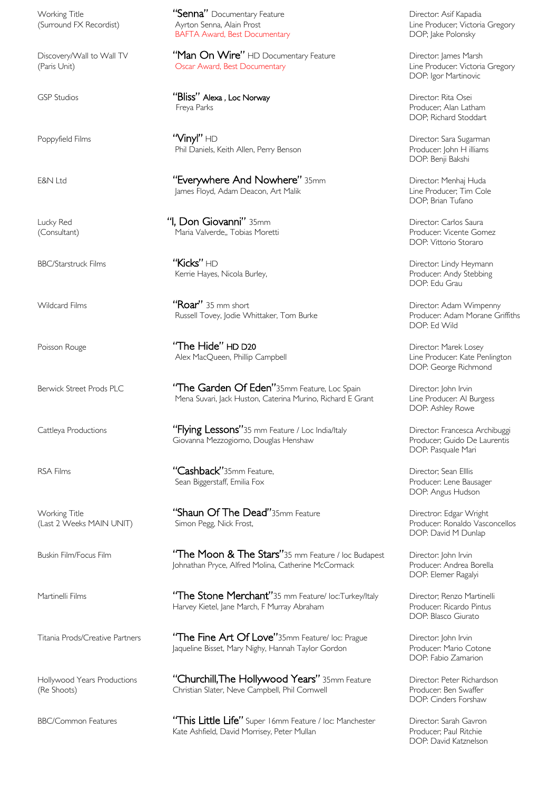Working Title "Senna" Documentary Feature Director: Asif Kapadia (Surround FX Recordist) Ayrton Senna, Alain Prost Line Producer; Victoria Gregory BAFTA Award, Best Documentary **DOP**; Jake Polonsky

Discovery/Wall to Wall TV **"Man On Wire"** HD Documentary Feature **Director: James Marsh (Paris Unit)**<br>Paris Unit) Director: Victoria Gregory (Paris Unit) Director: Victoria Gregory **Oscar Award, Best Documentary** 

GSP Studios "Bliss" Alexa , Loc Norway Parks Parks (GSP Studios Producer; Alan Latham<br>Freya Parks Producer; Alan Latham

Poppyfield Films **"Vinyl"** HD **Company HD** Director: Sara Sugarman Phil Daniels, Keith Allen, Perry Benson Producer: John H illiams

E&N Ltd **Exerywhere And Nowhere''** 35mm<br>Iames Floyd, Adam Deacon, Art Malik Dunner Producer; Tim Cole James Floyd, Adam Deacon, Art Malik

Lucky Red "I, Don Giovanni" 35mm Director: Carlos Saura Maria Valverde,, Tobias Moretti

BBC/Starstruck Films "Kicks" HD Director: Lindy Heymann Kerrie Hayes, Nicola Burley,

Wildcard Films **"Roar"** 35 mm short "Roar" and the Director: Adam Wimpenny<br>Russell Tovey. Iodie Whittaker. Tom Burke "Producer: Adam Morane Griffiths Russell Tovey, Jodie Whittaker, Tom Burke

Poisson Rouge **"The Hide" HD D20**<br>Alex MacQueen, Phillip Campbell **Alex Director: Marek Losey** Director: Marek Losey<br>Line Producer: Kate Penlington Alex MacQueen, Phillip Campbell

Berwick Street Prods PLC **"The Garden Of Eden"**35mm Feature, Loc Spain Director: John Irvin<br>Mena Suvari, Jack Huston, Caterina Murino, Richard E Grant Line Producer: Al Burgess Mena Suvari, Jack Huston, Caterina Murino, Richard E Grant

Cattleya Productions **"Flying Lessons"**35 mm Feature / Loc India/Italy Director: Francesca Archibuggi<br>Giovanna Mezzogiorno, Douglas Henshaw Producer; Guido De Laurentis Giovanna Mezzogiorno, Douglas Henshaw

RSA Films "Cashback"35mm Feature, Director; Sean Elllis Sean Biggerstaff, Emilia Fox **Producer:** Lene Bausager

Working Title **"Shaun Of The Dead"**35mm Feature **Directror: Edgar Wright** Wright (Last 2 Weeks MAIN UNIT) Simon Pegg, Nick Frost, Producer: Ronaldo Vasconcellos

Buskin Film/Focus Film "The Moon & The Stars"35 mm Feature / loc Budapest Director: John Irvin<br>Johnathan Pryce, Alfred Molina, Catherine McCormack Producer: Andrea Borella Johnathan Pryce, Alfred Molina, Catherine McCormack

Martinelli Films "The Stone Merchant"35 mm Feature/ loc:Turkey/Italy Director; Renzo Martinelli<br>Harvey Kietel, lane March, F. Murray Abraham Producer: Ricardo Pintus Harvey Kietel, Jane March, F Murray Abraham Producer: Ricardo Pintus Producer: Ricardo Pintus DOP: Blasco Giurato

Titania Prods/Creative Partners "The Fine Art Of Love"35mm Feature/ loc: Prague Director: John Irvin<br>Iaqueline Bisset. Mary Nighy. Hannah Taylor Gordon Producer: Mario Cotone Jaqueline Bisset, Mary Nighy, Hannah Taylor Gordon

Hollywood Years Productions "Churchill, The Hollywood Years" 35mm Feature Director: Peter Richardson (Re Shoots) Christian Slater, Neve Campbell, Phil Cornwell Producer: Ben Swaffer

BBC/Common Features "This Little Life" Super 16mm Feature / loc: Manchester Director: Sarah Gavron<br>Kate Ashfield, David Morrisey, Peter Mullan Producer, Paul Ritchie Kate Ashfield, David Morrisey, Peter Mullan

DOP: Igor Martinovic

DOP; Richard Stoddart

DOP: Benji Bakshi

DOP; Brian Tufano

DOP: Vittorio Storaro

DOP: Edu Grau

DOP: Ed Wild

DOP: George Richmond

DOP: Ashley Rowe

DOP: Pasquale Mari

DOP: Angus Hudson

DOP: David M Dunlap

DOP: Elemer Ragalyi

DOP: Fabio Zamarion

DOP: Cinders Forshaw

DOP: David Katznelson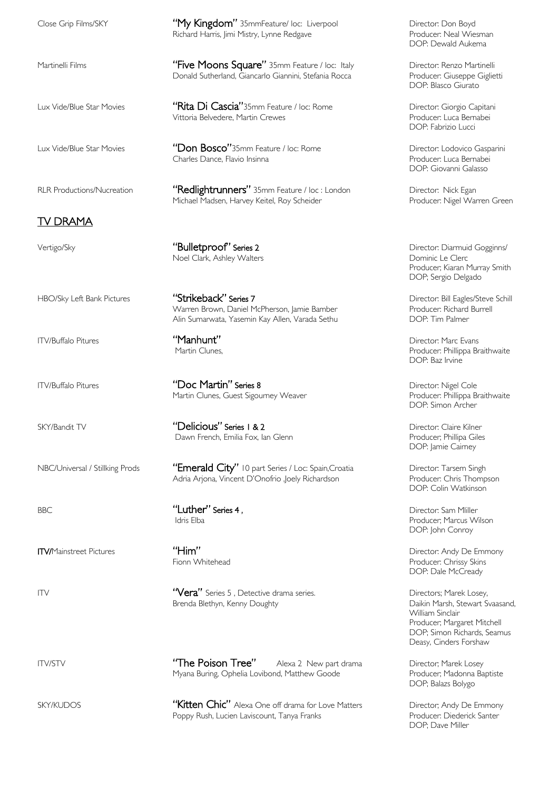Close Grip Films/SKY **"My Kingdom"** 35mmFeature/ loc: Liverpool Director: Don Boyd

## TV DRAMA

Vertigo/Sky **Sunding the Contract Series 1** Vertigo/Sky Director: Diarmuid Gogginns/ Noel Clark, Ashley Walters **Dominic Le Clerc** 

Vittoria Belvedere, Martin Crewes

Charles Dance, Flavio Insinna

HBO/Sky Left Bank Pictures "Strikeback" Series 7 Director: Bill Eagles/Steve Schill Warren Brown, Daniel McPherson, Jamie Bamber Producer: Richard Producer: Richard Burrell<br>Alin Sumarwata, Yasemin Kav Allen, Varada Sethu Alin Sumarwata, Yasemin Kay Allen, Varada Sethu

Michael Madsen, Harvey Keitel, Roy Scheider

ITV/Buffalo Pitures **"Doc Martin" Series 8** Partine Series 8<br>Martin Clunes, Guest Sigourney Weaver Phillippa Braithwaite Martin Clunes, Guest Sigourney Weaver

SKY/Bandit TV **Subset Conflict Constant ("Delicious" Series 1 & 2** Director: Claire Kilner<br>Dawn French, Emilia Fox, Ian Glenn (Delity Producer; Phillipa Giles) Dawn French, Emilia Fox, Ian Glenn

NBC/Universal / Stillking Prods "Emerald City" 10 part Series / Loc: Spain,Croatia Director: Tarsem Singh<br>Adria Arjona, Vincent D'Onofrio ,loely Richardson Producer: Chris Thompson Adria Arjona, Vincent D'Onofrio ,Joely Richardson

eries 1, the contract of the contract of the contract of the contract of the contract of the contract of the contract of the contract of the contract of the contract of the contract of the contract of the contract of the c

ITV **The Contract Contract Contract Contract Contract Contract Contract Contract Contract Contract Contract Contract Contract Contract Contract Contract Contract Contract Contract Contract Contract Contract Contract Contra** Brenda Blethyn, Kenny Doughty Daikin Marsh, Stewart Svaasand,

ITV/STV **The Poison Tree"** Alexa 2 New part drama Director; Marek Losey Myana Buring, Ophelia Lovibond, Matthew Goode Producer; Madonna Baptiste

SKY/KUDOS **"Kitten Chic"** Alexa One off drama for Love Matters Director; Andy De Emmony<br>Poppy Rush. Lucien Laviscount, Tanya Franks Producer: Diederick Santer Poppy Rush, Lucien Laviscount, Tanya Franks

Richard Harris, Jimi Mistry, Lynne Redgave **Producer: Neal Wiesman** DOP: Dewald Aukema

Martinelli Films " **"Five Moons Square"** 35mm Feature / loc: Italy Director: Renzo Martinelli Donald Sutherland, Giancarlo Giannini, Stefania Rocca Producer: Giuseppe Giglietti DOP: Blasco Giurato

Lux Vide/Blue Star Movies "Rita Di Cascia"35mm Feature / loc: Rome Director: Giorgio Capitani<br>Vittoria Belvedere, Martin Crewes DOP: Fabrizio Lucci

Lux Vide/Blue Star Movies "Don Bosco"35mm Feature / loc: Rome Director: Lodovico Gasparini<br>Charles Dance, Flavio Insinna Charles Dance and Broducer: Luca Bernabei DOP: Giovanni Galasso

RLR Productions/Nucreation "Redlightrunners" 35mm Feature / loc : London Director: Nick Egan<br>Michael Madsen, Harvey Keitel, Roy Scheider Producer: Nigel Warren Green

Producer; Kiaran Murray Smith DOP; Sergio Delgado

ITV/Buffalo Pitures **"Manhunt"** ("Manhunt" Director: Marc Evans Martin Clunes, Producer: Phillippa Braithwaite DOP: Baz Irvine

DOP: Simon Archer

DOP: Jamie Cairney

DOP: Colin Watkinson

Producer; Marcus Wilson DOP: John Conroy

ITV/Mainstreet Pictures **"Him"**  $\sum_{i=1}^{n}$  Pictor: Andy De Emmony Producer: Chrissy Skins DOP: Dale McCready

> William Sinclair Producer; Margaret Mitchell DOP; Simon Richards, Seamus Deasy, Cinders Forshaw

DOP; Balazs Bolygo

DOP; Dave Miller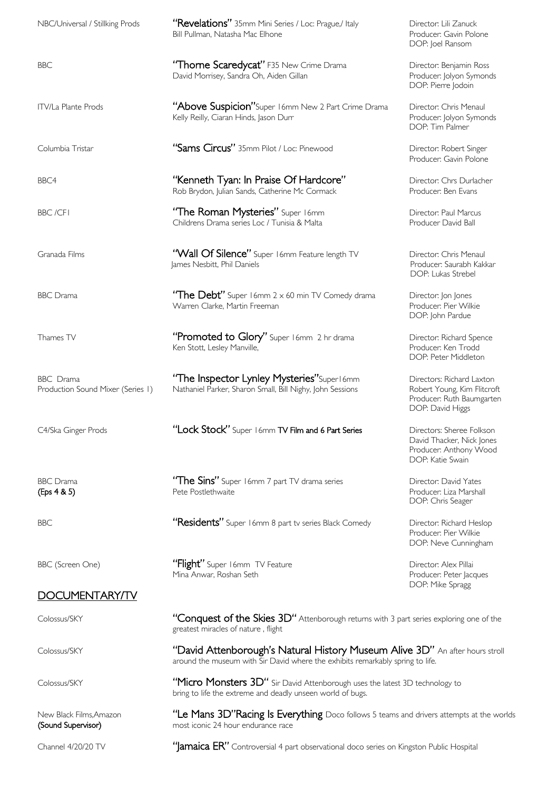| NBC/Universal / Stillking Prods                | "Revelations" 35mm Mini Series / Loc: Prague,/ Italy<br>Bill Pullman, Natasha Mac Elhone                                                                       | Director: Lili Zanuck<br>Producer: Gavin Polone<br>DOP: Joel Ransom                                       |
|------------------------------------------------|----------------------------------------------------------------------------------------------------------------------------------------------------------------|-----------------------------------------------------------------------------------------------------------|
| <b>BBC</b>                                     | "Thome Scaredycat" F35 New Crime Drama<br>David Morrisey, Sandra Oh, Aiden Gillan                                                                              | Director: Benjamin Ross<br>Producer: Jolyon Symonds<br>DOP: Pierre Jodoin                                 |
| <b>ITV/La Plante Prods</b>                     | "Above Suspicion"Super 16mm New 2 Part Crime Drama<br>Kelly Reilly, Ciaran Hinds, Jason Durr                                                                   | Director: Chris Menaul<br>Producer: Jolyon Symonds<br>DOP: Tim Palmer                                     |
| Columbia Tristar                               | "Sams Circus" 35mm Pilot / Loc: Pinewood                                                                                                                       | Director: Robert Singer<br>Producer: Gavin Polone                                                         |
| BBC4                                           | "Kenneth Tyan: In Praise Of Hardcore"<br>Rob Brydon, Julian Sands, Catherine Mc Cormack                                                                        | Director: Chrs Durlacher<br>Producer: Ben Evans                                                           |
| <b>BBC/CFI</b>                                 | "The Roman Mysteries" Super I6mm<br>Childrens Drama series Loc / Tunisia & Malta                                                                               | Director: Paul Marcus<br>Producer David Ball                                                              |
| Granada Films                                  | "Wall Of Silence" Super 16mm Feature length TV<br>James Nesbitt, Phil Daniels                                                                                  | Director: Chris Menaul<br>Producer: Saurabh Kakkar<br>DOP: Lukas Strebel                                  |
| <b>BBC</b> Drama                               | "The Debt" Super 16mm 2 x 60 min TV Comedy drama<br>Warren Clarke, Martin Freeman                                                                              | Director: Jon Jones<br>Producer: Pier Wilkie<br>DOP: John Pardue                                          |
| Thames TV                                      | "Promoted to Glory" Super 16mm 2 hr drama<br>Ken Stott, Lesley Manville,                                                                                       | Director: Richard Spence<br>Producer: Ken Trodd<br>DOP: Peter Middleton                                   |
| BBC Drama<br>Production Sound Mixer (Series 1) | "The Inspector Lynley Mysteries" Superl 6mm<br>Nathaniel Parker, Sharon Small, Bill Nighy, John Sessions                                                       | Directors: Richard Laxton<br>Robert Young, Kim Flitcroft<br>Producer: Ruth Baumgarten<br>DOP: David Higgs |
| C4/Ska Ginger Prods                            | "Lock Stock" Super 16mm TV Film and 6 Part Series                                                                                                              | Directors: Sheree Folkson<br>David Thacker, Nick Jones<br>Producer: Anthony Wood<br>DOP: Katie Swain      |
| <b>BBC</b> Drama<br>(Eps 4 & 5)                | "The Sins" Super 16mm 7 part TV drama series<br>Pete Postlethwaite                                                                                             | Director: David Yates<br>Producer: Liza Marshall<br>DOP: Chris Seager                                     |
| <b>BBC</b>                                     | "Residents" Super 16mm 8 part tv series Black Comedy                                                                                                           | Director: Richard Heslop<br>Producer: Pier Wilkie<br>DOP: Neve Cunningham                                 |
| BBC (Screen One)                               | "Flight" Super 16mm TV Feature<br>Mina Anwar, Roshan Seth                                                                                                      | Director: Alex Pillai<br>Producer: Peter Jacques<br>DOP: Mike Spragg                                      |
| DOCUMENTARY/TV                                 |                                                                                                                                                                |                                                                                                           |
| Colossus/SKY                                   | "Conquest of the Skies 3D" Attenborough returns with 3 part series exploring one of the<br>greatest miracles of nature, flight                                 |                                                                                                           |
| Colossus/SKY                                   | "David Attenborough's Natural History Museum Alive 3D" An after hours stroll<br>around the museum with Sir David where the exhibits remarkably spring to life. |                                                                                                           |
| Colossus/SKY                                   | "Micro Monsters 3D" Sir David Attenborough uses the latest 3D technology to<br>bring to life the extreme and deadly unseen world of bugs.                      |                                                                                                           |
| New Black Films, Amazon<br>(Sound Supervisor)  | "Le Mans 3D"Racing Is Everything Doco follows 5 teams and drivers attempts at the worlds<br>most iconic 24 hour endurance race                                 |                                                                                                           |

Channel 4/20/20 TV "**'Jamaica ER''** Controversial 4 part observational doco series on Kingston Public Hospital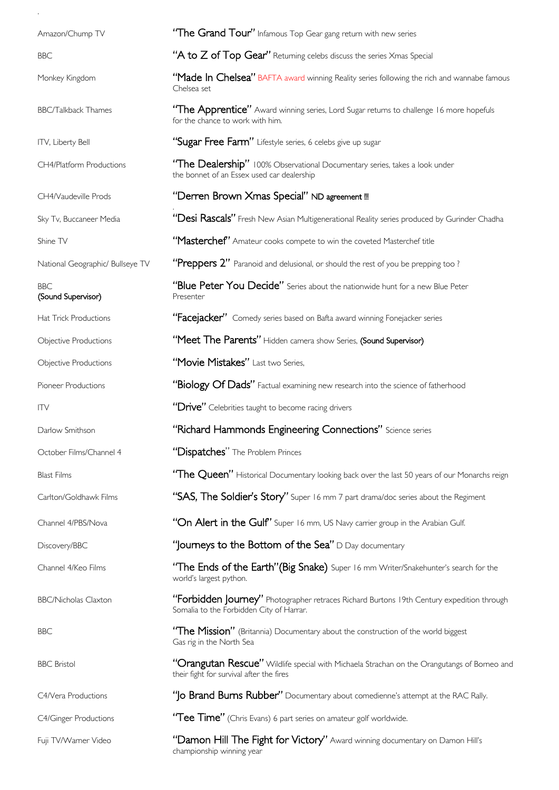| Amazon/Chump TV                    | "The Grand Tour" Infamous Top Gear gang return with new series                                                                          |
|------------------------------------|-----------------------------------------------------------------------------------------------------------------------------------------|
| <b>BBC</b>                         | "A to Z of Top Gear" Returning celebs discuss the series Xmas Special                                                                   |
| Monkey Kingdom                     | "Made In Chelsea" BAFTA award winning Reality series following the rich and wannabe famous<br>Chelsea set                               |
| <b>BBC/Talkback Thames</b>         | "The Apprentice" Award winning series, Lord Sugar returns to challenge 16 more hopefuls<br>for the chance to work with him.             |
| ITV, Liberty Bell                  | "Sugar Free Farm" Lifestyle series, 6 celebs give up sugar                                                                              |
| CH4/Platform Productions           | "The Dealership" 100% Observational Documentary series, takes a look under<br>the bonnet of an Essex used car dealership                |
| CH4/Vaudeville Prods               | "Derren Brown Xmas Special" ND agreement !!!                                                                                            |
| Sky Tv, Buccaneer Media            | "Desi Rascals" Fresh New Asian Multigenerational Reality series produced by Gurinder Chadha                                             |
| Shine TV                           | "Masterchef" Amateur cooks compete to win the coveted Masterchef title                                                                  |
| National Geographic/ Bullseye TV   | "Preppers 2" Paranoid and delusional, or should the rest of you be prepping too?                                                        |
| <b>BBC</b><br>(Sound Supervisor)   | "Blue Peter You Decide" Series about the nationwide hunt for a new Blue Peter<br>Presenter                                              |
| Hat Trick Productions              | "Facejacker" Comedy series based on Bafta award winning Fonejacker series                                                               |
| Objective Productions              | "Meet The Parents" Hidden camera show Series, (Sound Supervisor)                                                                        |
| Objective Productions              | "Movie Mistakes" Last two Series,                                                                                                       |
| Pioneer Productions                | "Biology Of Dads" Factual examining new research into the science of fatherhood                                                         |
| $\mathsf{I} \mathsf{I} \mathsf{V}$ | "Drive" Celebrities taught to become racing drivers                                                                                     |
| Darlow Smithson                    | "Richard Hammonds Engineering Connections" Science series                                                                               |
| October Films/Channel 4            | "Dispatches" The Problem Princes                                                                                                        |
| <b>Blast Films</b>                 | "The Queen" Historical Documentary looking back over the last 50 years of our Monarchs reign                                            |
| Carlton/Goldhawk Films             | "SAS, The Soldier's Story" Super 16 mm 7 part drama/doc series about the Regiment                                                       |
| Channel 4/PBS/Nova                 | "On Alert in the Gulf' Super 16 mm, US Navy carrier group in the Arabian Gulf.                                                          |
| Discovery/BBC                      | "Journeys to the Bottom of the Sea" D Day documentary                                                                                   |
| Channel 4/Keo Films                | "The Ends of the Earth"(Big Snake) Super 16 mm Writer/Snakehunter's search for the<br>world's largest python.                           |
| <b>BBC/Nicholas Claxton</b>        | "Forbidden Journey" Photographer retraces Richard Burtons 19th Century expedition through<br>Somalia to the Forbidden City of Harrar.   |
| <b>BBC</b>                         | "The Mission" (Britannia) Documentary about the construction of the world biggest<br>Gas rig in the North Sea                           |
| <b>BBC</b> Bristol                 | "Orangutan Rescue" Wildlife special with Michaela Strachan on the Orangutangs of Borneo and<br>their fight for survival after the fires |
| C4/Vera Productions                | "   o Brand Burns Rubber" Documentary about comedienne's attempt at the RAC Rally.                                                      |
| C4/Ginger Productions              | "Tee Time" (Chris Evans) 6 part series on amateur golf worldwide.                                                                       |
| Fuji TV/Warner Video               | "Damon Hill The Fight for Victory" Award winning documentary on Damon Hill's<br>championship winning year                               |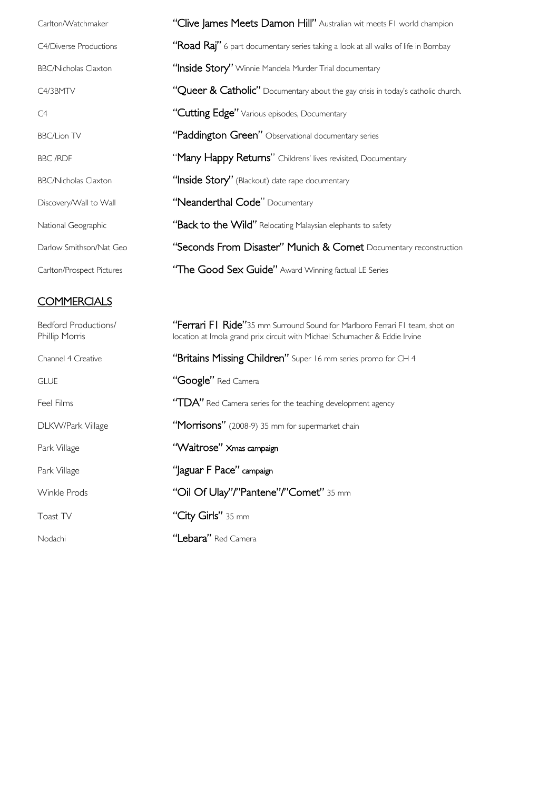| Carlton/Watchmaker          | "Clive James Meets Damon Hill" Australian wit meets FI world champion             |
|-----------------------------|-----------------------------------------------------------------------------------|
| C4/Diverse Productions      | "Road Raj" 6 part documentary series taking a look at all walks of life in Bombay |
| <b>BBC/Nicholas Claxton</b> | "Inside Story" Winnie Mandela Murder Trial documentary                            |
| C4/3BMTV                    | "Queer & Catholic" Documentary about the gay crisis in today's catholic church.   |
| C4                          | "Cutting Edge" Various episodes, Documentary                                      |
| <b>BBC/Lion TV</b>          | "Paddington Green" Observational documentary series                               |
| <b>BBC/RDF</b>              | "Many Happy Returns" Childrens' lives revisited, Documentary                      |
| <b>BBC/Nicholas Claxton</b> | "Inside Story" (Blackout) date rape documentary                                   |
| Discovery/Wall to Wall      | "Neanderthal Code" Documentary                                                    |
| National Geographic         | "Back to the Wild" Relocating Malaysian elephants to safety                       |
| Darlow Smithson/Nat Geo     | "Seconds From Disaster" Munich & Comet Documentary reconstruction                 |
| Carlton/Prospect Pictures   | "The Good Sex Guide" Award Winning factual LE Series                              |

# **COMMERCIALS**

| <b>Bedford Productions/</b><br>Phillip Morris | "Ferrari FI Ride"35 mm Surround Sound for Marlboro Ferrari FI team, shot on<br>location at Imola grand prix circuit with Michael Schumacher & Eddie Irvine |  |
|-----------------------------------------------|------------------------------------------------------------------------------------------------------------------------------------------------------------|--|
| Channel 4 Creative                            | "Britains Missing Children" Super 16 mm series promo for CH 4                                                                                              |  |
| <b>GLUE</b>                                   | "Google" Red Camera                                                                                                                                        |  |
| Feel Films                                    | "TDA" Red Camera series for the teaching development agency                                                                                                |  |
| DLKW/Park Village                             | "Morrisons" (2008-9) 35 mm for supermarket chain                                                                                                           |  |
| Park Village                                  | "Waitrose" Xmas campaign                                                                                                                                   |  |
| Park Village                                  | "Jaguar F Pace" campaign                                                                                                                                   |  |
| Winkle Prods                                  | "Oil Of Ulay"/"Pantene"/"Comet" 35 mm                                                                                                                      |  |
| Toast TV                                      | "City Girls" 35 mm                                                                                                                                         |  |
| Nodachi                                       | <b>"Lebara"</b> Red Camera                                                                                                                                 |  |